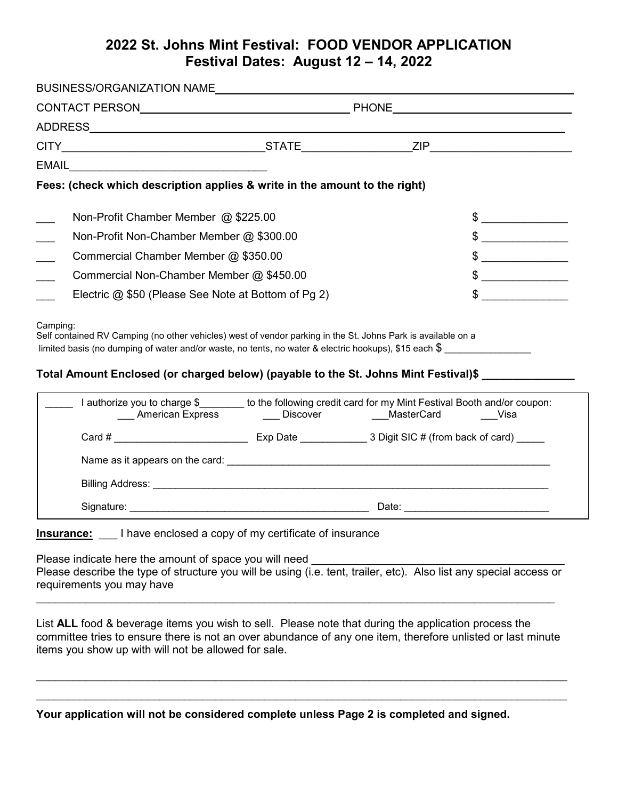## **2022 St. Johns Mint Festival: FOOD VENDOR APPLICATION Festival Dates: August 12 – 14, 2022**

|                                          |                                                                                                                                                                                                                                                                                                                             | BUSINESS/ORGANIZATION NAMELA AND ANNOUNCED AND ACCOUNT AND A REPORT OF THE SERVICE OF THE SERVICE OF THE SERVICE OF THE SERVICE OF THE SERVICE OF THE SERVICE OF THE SERVICE OF THE SERVICE OF THE SERVICE OF THE SERVICE OF T |                                                                                                                                                                                                                                                                                                                                                                                                                                 |
|------------------------------------------|-----------------------------------------------------------------------------------------------------------------------------------------------------------------------------------------------------------------------------------------------------------------------------------------------------------------------------|--------------------------------------------------------------------------------------------------------------------------------------------------------------------------------------------------------------------------------|---------------------------------------------------------------------------------------------------------------------------------------------------------------------------------------------------------------------------------------------------------------------------------------------------------------------------------------------------------------------------------------------------------------------------------|
|                                          |                                                                                                                                                                                                                                                                                                                             |                                                                                                                                                                                                                                |                                                                                                                                                                                                                                                                                                                                                                                                                                 |
|                                          |                                                                                                                                                                                                                                                                                                                             |                                                                                                                                                                                                                                |                                                                                                                                                                                                                                                                                                                                                                                                                                 |
|                                          |                                                                                                                                                                                                                                                                                                                             |                                                                                                                                                                                                                                |                                                                                                                                                                                                                                                                                                                                                                                                                                 |
|                                          |                                                                                                                                                                                                                                                                                                                             |                                                                                                                                                                                                                                |                                                                                                                                                                                                                                                                                                                                                                                                                                 |
|                                          | Fees: (check which description applies & write in the amount to the right)                                                                                                                                                                                                                                                  |                                                                                                                                                                                                                                |                                                                                                                                                                                                                                                                                                                                                                                                                                 |
| Non-Profit Chamber Member @ \$225.00     |                                                                                                                                                                                                                                                                                                                             |                                                                                                                                                                                                                                | $\frac{1}{\sqrt{2}}$                                                                                                                                                                                                                                                                                                                                                                                                            |
| Non-Profit Non-Chamber Member @ \$300.00 |                                                                                                                                                                                                                                                                                                                             |                                                                                                                                                                                                                                | $\frac{1}{\sqrt{1-\frac{1}{2}}}\frac{1}{\sqrt{1-\frac{1}{2}}}\frac{1}{\sqrt{1-\frac{1}{2}}}\frac{1}{\sqrt{1-\frac{1}{2}}}\frac{1}{\sqrt{1-\frac{1}{2}}}\frac{1}{\sqrt{1-\frac{1}{2}}}\frac{1}{\sqrt{1-\frac{1}{2}}}\frac{1}{\sqrt{1-\frac{1}{2}}}\frac{1}{\sqrt{1-\frac{1}{2}}}\frac{1}{\sqrt{1-\frac{1}{2}}}\frac{1}{\sqrt{1-\frac{1}{2}}}\frac{1}{\sqrt{1-\frac{1}{2}}}\frac{1}{\sqrt{1-\frac{1}{2}}}\frac{1}{\sqrt{1-\frac{$ |
| Commercial Chamber Member @ \$350.00     |                                                                                                                                                                                                                                                                                                                             |                                                                                                                                                                                                                                | $\begin{array}{c c} \updownarrow \end{array}$                                                                                                                                                                                                                                                                                                                                                                                   |
| Commercial Non-Chamber Member @ \$450.00 |                                                                                                                                                                                                                                                                                                                             |                                                                                                                                                                                                                                | $\frac{1}{2}$                                                                                                                                                                                                                                                                                                                                                                                                                   |
|                                          |                                                                                                                                                                                                                                                                                                                             |                                                                                                                                                                                                                                |                                                                                                                                                                                                                                                                                                                                                                                                                                 |
|                                          | Electric @ \$50 (Please See Note at Bottom of Pg 2)<br>Self contained RV Camping (no other vehicles) west of vendor parking in the St. Johns Park is available on a                                                                                                                                                         |                                                                                                                                                                                                                                |                                                                                                                                                                                                                                                                                                                                                                                                                                 |
|                                          | limited basis (no dumping of water and/or waste, no tents, no water & electric hookups), \$15 each \$<br>Total Amount Enclosed (or charged below) (payable to the St. Johns Mint Festival)\$ ________________<br>I authorize you to charge \$_______ to the following credit card for my Mint Festival Booth and/or coupon: |                                                                                                                                                                                                                                | <b>Visa</b>                                                                                                                                                                                                                                                                                                                                                                                                                     |
| Camping:                                 |                                                                                                                                                                                                                                                                                                                             |                                                                                                                                                                                                                                | $\frac{1}{2}$                                                                                                                                                                                                                                                                                                                                                                                                                   |
|                                          |                                                                                                                                                                                                                                                                                                                             |                                                                                                                                                                                                                                |                                                                                                                                                                                                                                                                                                                                                                                                                                 |
|                                          |                                                                                                                                                                                                                                                                                                                             |                                                                                                                                                                                                                                |                                                                                                                                                                                                                                                                                                                                                                                                                                 |

Please indicate here the amount of space you will need Please describe the type of structure you will be using (i.e. tent, trailer, etc). Also list any special access or requirements you may have

\_\_\_\_\_\_\_\_\_\_\_\_\_\_\_\_\_\_\_\_\_\_\_\_\_\_\_\_\_\_\_\_\_\_\_\_\_\_\_\_\_\_\_\_\_\_\_\_\_\_\_\_\_\_\_\_\_\_\_\_\_\_\_\_\_\_\_\_\_\_\_\_\_\_\_\_\_\_\_\_\_\_\_\_

List **ALL** food & beverage items you wish to sell. Please note that during the application process the committee tries to ensure there is not an over abundance of any one item, therefore unlisted or last minute items you show up with will not be allowed for sale.

\_\_\_\_\_\_\_\_\_\_\_\_\_\_\_\_\_\_\_\_\_\_\_\_\_\_\_\_\_\_\_\_\_\_\_\_\_\_\_\_\_\_\_\_\_\_\_\_\_\_\_\_\_\_\_\_\_\_\_\_\_\_\_\_\_\_\_\_\_\_\_\_\_\_\_\_\_\_\_\_\_\_\_\_\_\_ \_\_\_\_\_\_\_\_\_\_\_\_\_\_\_\_\_\_\_\_\_\_\_\_\_\_\_\_\_\_\_\_\_\_\_\_\_\_\_\_\_\_\_\_\_\_\_\_\_\_\_\_\_\_\_\_\_\_\_\_\_\_\_\_\_\_\_\_\_\_\_\_\_\_\_\_\_\_\_\_\_\_\_\_\_\_

**Your application will not be considered complete unless Page 2 is completed and signed.**